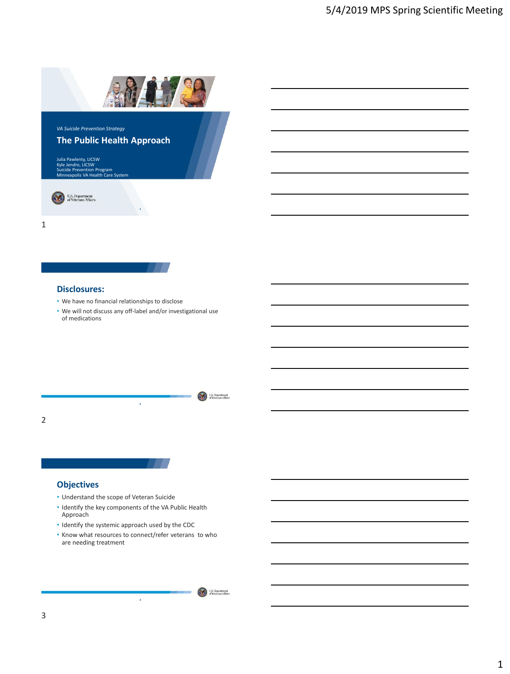

**1**

Julia Pawlenty, LICSW Kyle Jendro, LICSW Suicide Prevention Program Minneapolis VA Health Care System

U.S. Department

1

### **Disclosures:**

- We have no financial relationships to disclose
- We will not discuss any off-label and/or investigational use of medications

U.S. Department **2** 2

# **Objectives**

- Understand the scope of Veteran Suicide
- Identify the key components of the VA Public Health Approach
- Identify the systemic approach used by the CDC
- Know what resources to connect/refer veterans to who are needing treatment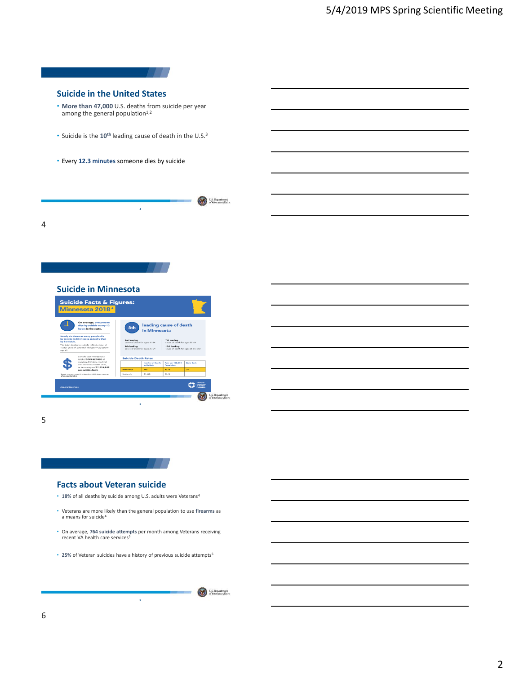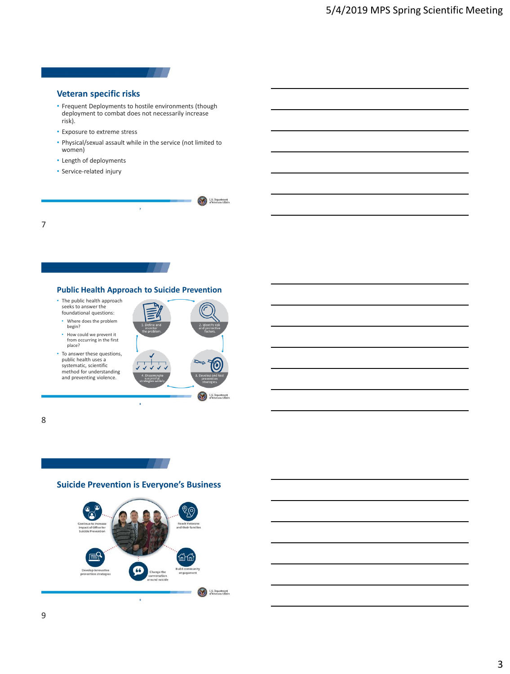

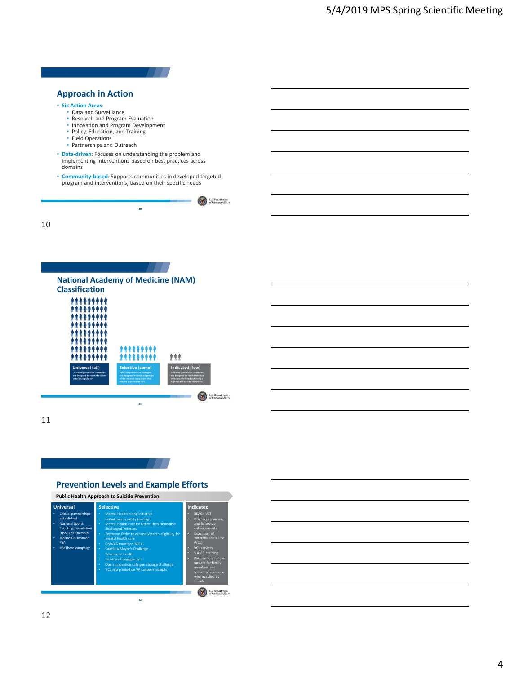

suicide

U.S. Department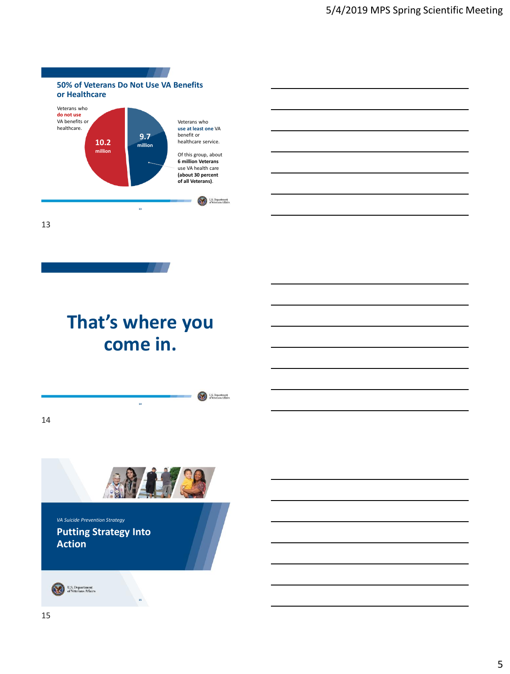

# **That's where you come in.**

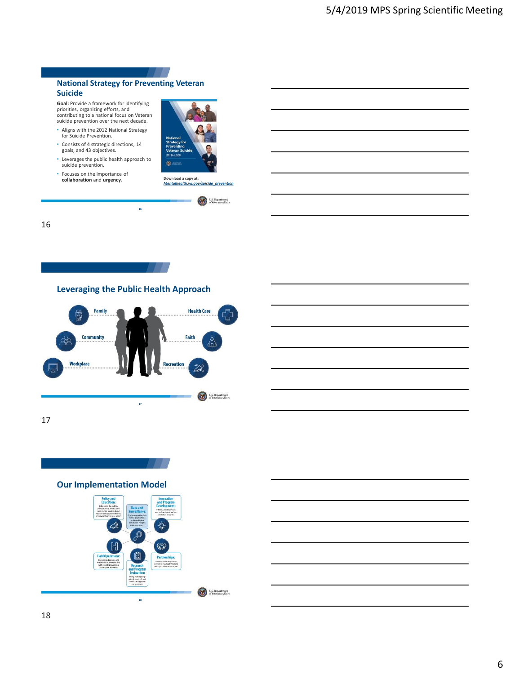## **National Strategy for Preventing Veteran Suicide**

**Goal:** Provide a framework for identifying priorities, organizing efforts, and contributing to a national focus on Veteran suicide prevention over the next decade.

- Aligns with the 2012 National Strategy for Suicide Prevention.
- Consists of 4 strategic directions, 14 goals, and 43 objectives.
- Leverages the public health approach to suicide prevention.
- Focuses on the importance of **collaboration** and **urgency.**





U.S. Department

U.S. Department

16



**17**

**Recreation** 

**16**



17

**Workplace** 



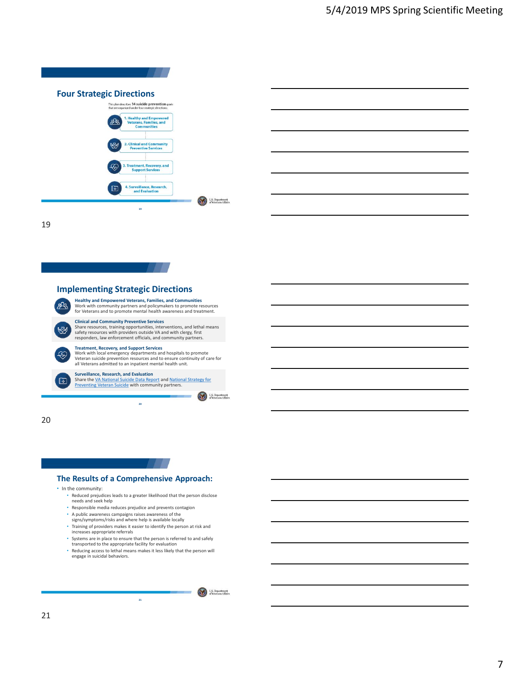| <b>Four Strategic Directions</b><br>This plan describes 14 suicide prevention goals<br>that are organized under four strategic directions: |  |
|--------------------------------------------------------------------------------------------------------------------------------------------|--|
| 1. Healthy and Empowered<br>እነፋ<br>Veterans, Families, and<br><b>Communities</b>                                                           |  |
| <b>2. Clinical and Community</b><br><b>Preventive Services</b>                                                                             |  |
| 3. Treatment, Recovery, and<br><b>Support Services</b>                                                                                     |  |
| 4. Surveillance, Research,<br>∣∻<br>and Evaluation                                                                                         |  |



19



**Clinical and Community Preventive Services** Share resources, training opportunities, interventions, and lethal means safety resources with providers outside VA and with clergy, first responders, law enforcement officials, and community partners.

Treatment, Recovery, and Support Services<br>Work with local emergency departments and hospitals to promote<br>Veteran suicide prevention resources and to ensure continuity of care for<br>all Veterans admitted to an inpatient menta

**Surveillance, Research, and Evaluation**<br>Share the <u>VA National Suicide Data Report</u> and <u>National Strategy for</u><br><u>Preventing Veteran Suicide</u> with community partners.

**20**

U.S. Department

20

Y

 $\mathbb{F}$ 

# **The Results of a Comprehensive Approach:**

• In the community:

- Reduced prejudices leads to a greater likelihood that the person disclose needs and seek help
- Responsible media reduces prejudice and prevents contagion
- A public awareness campaigns raises awareness of the signs/symptoms/risks and where help is available locally
- Training of providers makes it easier to identify the person at risk and
- increases appropriate referrals
- Systems are in place to ensure that the person is referred to and safely transported to the appropriate facility for evaluation • Reducing access to lethal means makes it less likely that the person will
- engage in suicidal behaviors.

**21**

U.S. Department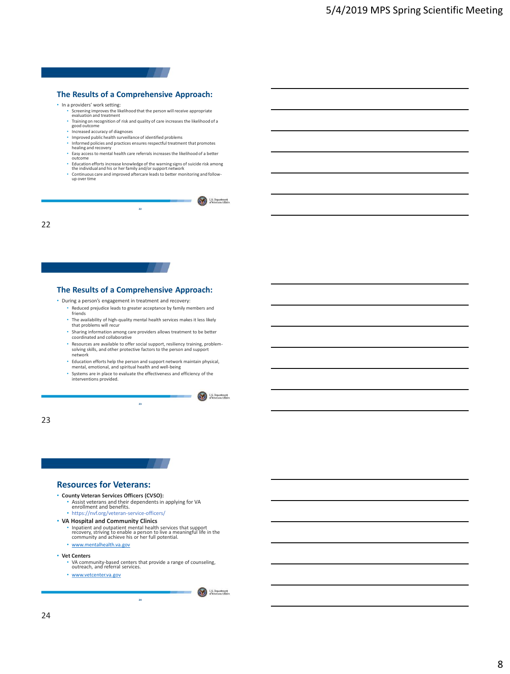# **The Results of a Comprehensive Approach:**

#### • In a providers' work setting:

- Screening improves the likelihood that the person will receive appropriate evaluation and treatment
- Training on recognition of risk and quality of care increases the likelihood of a good outcome
- Increased accuracy of diagnoses
- Improved public health surveillance of identified problems
- Informed policies and practices ensures respectful treatment that promotes<br>healing and recovery<br>• Easy access to mental health care referrals increases the likelihood of a better
- outcome
- Education efforts increase knowledge of the warning signs of suicide risk among the individual and his or her family and/or support network
- Continuous care and improved aftercare leads to better monitoring and follow-up over time

U.S. Department

U.S. Department

**22**

22

# **The Results of a Comprehensive Approach:**

- During a person's engagement in treatment and recovery:
	- Reduced prejudice leads to greater acceptance by family members and friends
	- The availability of high-quality mental health services makes it less likely that problems will recur
	- Sharing information among care providers allows treatment to be better coordinated and collaborative
	- Resources are available to offer social support, resiliency training, problemsolving skills, and other protective factors to the person and support network
	- Education efforts help the person and support network maintain physical, mental, emotional, and spiritual health and well-being
	- Systems are in place to evaluate the effectiveness and efficiency of the interventions provided.

**23**

23

### **Resources for Veterans:**

# • **County Veteran Services Officers (CVSO):**

- Assist veterans and their dependents in applying for VA enrollment and benefits. https://nvf.org/veteran-service-officers/
- 
- **VA Hospital and Community Clinics**
	- Inpatient and outpatient mental health services that support recovery, striving to enable a person to live a meaningful life in the community and achieve his or her full potential.
	- [www.mentalhealth.va.gov](http://www.mentalhealth.va.gov/)
- **Vet Centers**
	- VA community-based centers that provide a range of counseling, outreach, and referral services.

**24**

• [www.vetcenter.va.gov](http://www.vetcenter.va.gov/)

U.S. Department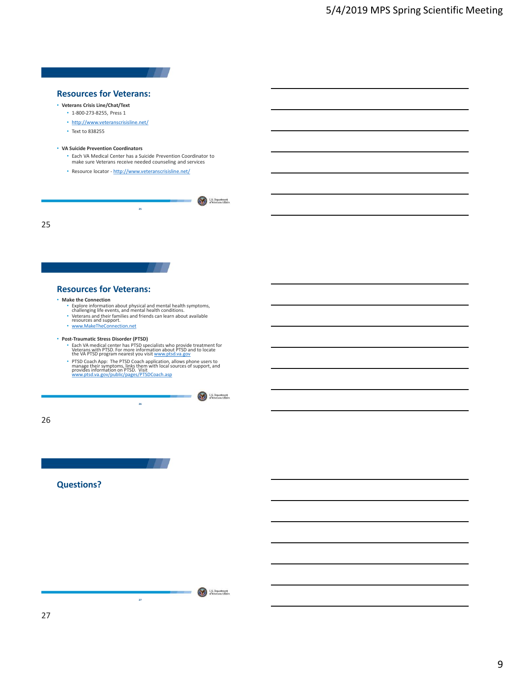